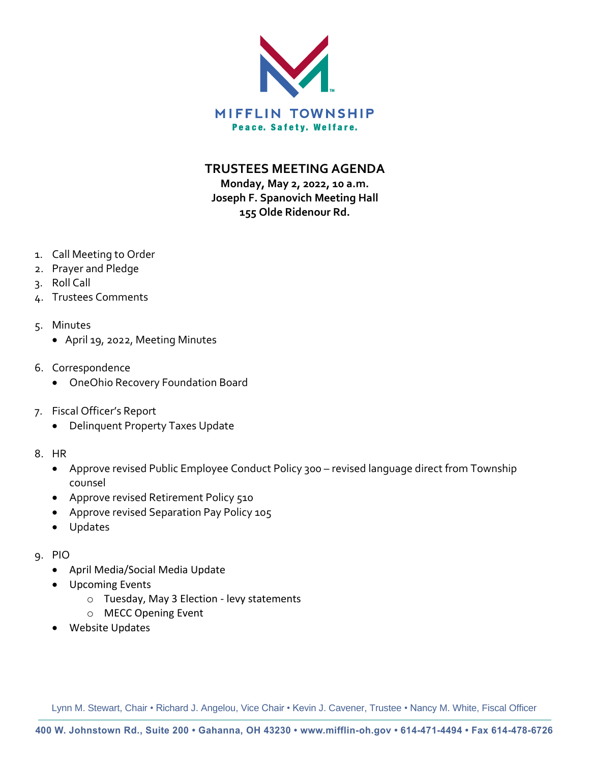

**TRUSTEES MEETING AGENDA**

**Monday, May 2, 2022, 10 a.m. Joseph F. Spanovich Meeting Hall 155 Olde Ridenour Rd.**

- 1. Call Meeting to Order
- 2. Prayer and Pledge
- 3. Roll Call
- 4. Trustees Comments
- 5. Minutes
	- April 19, 2022, Meeting Minutes
- 6. Correspondence
	- OneOhio Recovery Foundation Board
- 7. Fiscal Officer's Report
	- Delinquent Property Taxes Update
- 8. HR
	- Approve revised Public Employee Conduct Policy 300 revised language direct from Township counsel
	- Approve revised Retirement Policy 510
	- Approve revised Separation Pay Policy 105
	- Updates
- 9. PIO
	- April Media/Social Media Update
	- Upcoming Events
		- o Tuesday, May 3 Election levy statements
		- o MECC Opening Event
	- Website Updates

Lynn M. Stewart, Chair • Richard J. Angelou, Vice Chair • Kevin J. Cavener, Trustee • Nancy M. White, Fiscal Officer